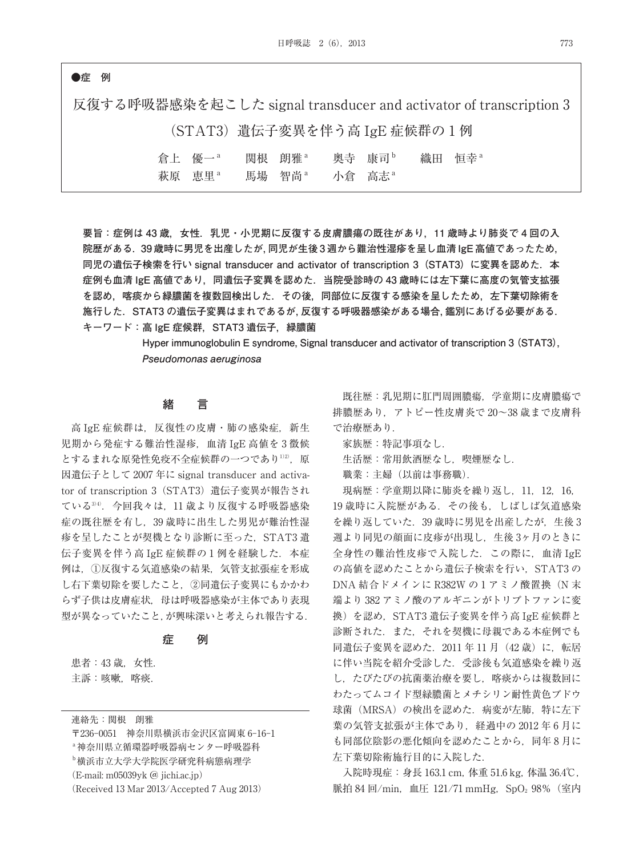## **●症 例**

反復する呼吸器感染を起こした signal transducer and activator of transcription 3 (STAT3)遺伝子変異を伴う高 IgE 症候群の 1 例 倉上 優一<sup>a</sup> 関根 朗雅<sup>a</sup> 奥寺 康司<sup>b</sup> 織田 恒幸<sup>a</sup> 萩原 恵里<sup>a</sup> 馬場 智尚<sup>a</sup> 小倉 高志<sup>a</sup>

**要旨:症例は 43 歳,女性.乳児・小児期に反復する皮膚膿瘍の既往があり,11 歳時より肺炎で 4 回の入 院歴がある.39 歳時に男児を出産したが,同児が生後 3 週から難治性湿疹を呈し血清 IgE 高値であったため, 同児の遺伝子検索を行い signal transducer and activator of transcription 3(STAT3)に変異を認めた.本 症例も血清 IgE 高値であり,同遺伝子変異を認めた.当院受診時の 43 歳時には左下葉に高度の気管支拡張 を認め,喀痰から緑膿菌を複数回検出した.その後,同部位に反復する感染を呈したため,左下葉切除術を 施行した.STAT3 の遺伝子変異はまれであるが,反復する呼吸器感染がある場合,鑑別にあげる必要がある. キーワード:高 IgE 症候群,STAT3 遺伝子,緑膿菌**

> **Hyper immunoglobulin E syndrome, Signal transducer and activator of transcription 3 (STAT3), Pseudomonas aeruginosa**

## **緒 言**

高 IgE 症候群は、反復性の皮膚・肺の感染症, 新生 児期から発症する難治性湿疹,血清 IgE 高値を 3 徴候 とするまれな原発性免疫不全症候群の一つであり<sup>1)2)</sup>,原 因遺伝子として 2007 年に signal transducer and activator of transcription 3 (STAT3) 遺伝子変異が報告され ている3)4) .今回我々は,11 歳より反復する呼吸器感染 症の既往歴を有し,39 歳時に出生した男児が難治性湿 疹を呈したことが契機となり診断に至った、STAT3 遺 伝子変異を伴う高 IgE 症候群の1例を経験した. 本症 例は,①反復する気道感染の結果,気管支拡張症を形成 し右下葉切除を要したこと,②同遺伝子変異にもかかわ らず子供は皮膚症状,母は呼吸器感染が主体であり表現 型が異なっていたこと,が興味深いと考えられ報告する.

#### **症 例**

患者: 43 歳, 女性. 主訴:咳嗽,喀痰.

連絡先:関根 朗雅

〒236-0051 神奈川県横浜市金沢区富岡東 6-16-1 a神奈川県立循環器呼吸器病センター呼吸器科 b横浜市立大学大学院医学研究科病態病理学 (E-mail: m05039yk @ jichi.ac.jp) (Received 13 Mar 2013/Accepted 7 Aug 2013)

既往歴:乳児期に肛門周囲膿瘍,学童期に皮膚膿瘍で 排膿歴あり,アトピー性皮膚炎で 20~38 歳まで皮膚科 で治療歴あり.

家族歴:特記事項なし.

生活歴:常用飲酒歴なし、喫煙歴なし.

職業:主婦(以前は事務職).

現病歴:学童期以降に肺炎を繰り返し,11,12,16, 19 歳時に入院歴がある.その後も,しばしば気道感染 を繰り返していた.39 歳時に男児を出産したが,生後 3 週より同児の顔面に皮疹が出現し,生後 3ヶ月のときに 全身性の難治性皮疹で入院した.この際に,血清 IgE の高値を認めたことから遺伝子検索を行い、STAT3の DNA 結合ドメインに R382W の1アミノ酸置換(N 末 端より 382 アミノ酸のアルギニンがトリプトファンに変 換)を認め,STAT3 遺伝子変異を伴う高 IgE 症候群と 診断された.また,それを契機に母親である本症例でも 同遺伝子変異を認めた.2011 年 11 月(42 歳)に,転居 に伴い当院を紹介受診した.受診後も気道感染を繰り返 し,たびたびの抗菌薬治療を要し,喀痰からは複数回に わたってムコイド型緑膿菌とメチシリン耐性黄色ブドウ 球菌(MRSA)の検出を認めた. 病変が左肺, 特に左下 葉の気管支拡張が主体であり、経過中の 2012年6月に も同部位陰影の悪化傾向を認めたことから,同年 8 月に 左下葉切除術施行目的に入院した.

入院時現症:身長 163.1 cm, 体重 51.6 kg, 体温 36.4℃, 脈拍 84 回/min, 血圧 121/71 mmHg, SpO<sub>2</sub> 98% (室内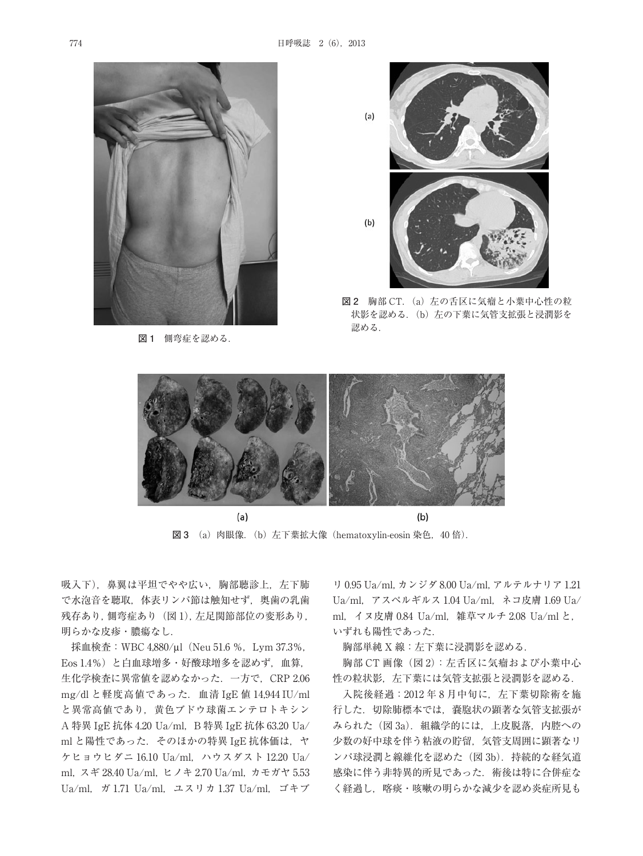

**図 1** 側弯症を認める.



**図 2** 胸部 CT.(a)左の舌区に気瘤と小葉中心性の粒 状影を認める. (b) 左の下葉に気管支拡張と浸潤影を 認める.



 $(a)$ **図 3** (a)肉眼像.(b)左下葉拡大像(hematoxylin-eosin 染色,40 倍).

吸入下). 鼻翼は平坦でやや広い. 胸部聴診上, 左下肺 で水泡音を聴取,体表リンパ節は触知せず,奥歯の乳歯 残存あり,側弯症あり (図1), 左足関節部位の変形あり, 明らかな皮疹・膿瘍なし.

採血検査:WBC 4,880/μl(Neu 51.6 %,Lym 37.3%, Eos 1.4%)と白血球増多・好酸球増多を認めず,血算, 生化学検査に異常値を認めなかった. 一方で, CRP 2.06 mg/dl と軽度高値であった.血清 IgE 値 14,944 IU/ml と異常高値であり,黄色ブドウ球菌エンテロトキシン A 特異 IgE 抗体 4.20 Ua/ml, B 特異 IgE 抗体 63.20 Ua/ ml と陽性であった. そのほかの特異 IgE 抗体価は、ヤ ケヒョウヒダニ 16.10 Ua/ml,ハウスダスト 12.20 Ua/ ml,スギ 28.40 Ua/ml,ヒノキ 2.70 Ua/ml,カモガヤ 5.53 Ua/ml,ガ 1.71 Ua/ml,ユスリカ 1.37 Ua/ml,ゴキブ

リ 0.95 Ua/ml,カンジダ 8.00 Ua/ml,アルテルナリア 1.21 Ua/ml,アスペルギルス 1.04 Ua/ml,ネコ皮膚 1.69 Ua/ ml, イヌ皮膚 0.84 Ua/ml, 雑草マルチ 2.08 Ua/ml と, いずれも陽性であった.

胸部単純 X 線:左下葉に浸潤影を認める.

胸部 CT 画像(図 2):左舌区に気瘤および小葉中心 性の粒状影, 左下葉には気管支拡張と浸潤影を認める.

入院後経過:2012 年 8 月中旬に,左下葉切除術を施 行した.切除肺標本では,嚢胞状の顕著な気管支拡張が みられた(図 3a). 組織学的には、上皮脱落, 内腔への 少数の好中球を伴う粘液の貯留,気管支周囲に顕著なリ ンパ球浸潤と線維化を認めた(図 3b). 持続的な経気道 感染に伴う非特異的所見であった.術後は特に合併症な く経過し、喀痰・咳嗽の明らかな減少を認め炎症所見も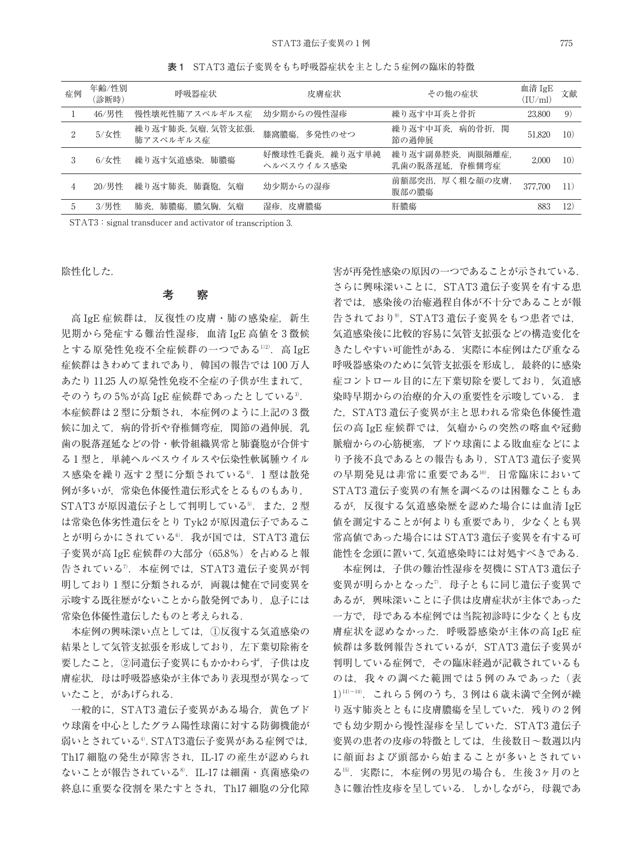症例 年齢/性別 年齢/性別 呼吸器症状 皮膚症状 その他の症状 血清 IgE<br>(診断時) 呼吸器症状 皮膚症状 その他の症状 (IU/ml) 血清  $IgE$  文献 1 46/男性 慢性壊死性肺アスペルギルス症 幼少期からの慢性湿疹 ネり返す中耳炎と骨折 23,800 9) <sup>2</sup> 5/女性 繰り返す肺炎,気瘤,気管支拡張, 膝窩膿瘍, 多発性のせつ 繰り返す中耳炎,病的骨折,関 はり返りエキ灭,別的自切,因 51,820 10)<br>節の過伸展 3 6/女性 繰り返す気道感染, 肺膿瘍 好酸球性毛嚢炎, 繰り返す単純 ヘルペスウイルス感染 繰り返す副鼻腔炎, 両眼隔離症。 <sub>株ソ心タ動弁圧</sub>次, 同映隔離症, 2,000 10)<br>乳歯の脱落遅延, 脊椎側弯症 2,000 10) 4 20/男性 繰り返す肺炎, 肺嚢胞, 気瘤 幼少期からの湿疹 前額部突出, 厚く粗な顔の皮膚, |前額部矢角,序ヽ忸な顔ツ反眉,||377,700||11)|<br>腹部の膿瘍|

5 3/男性 肺炎,肺膿瘍,膿気胸,気瘤 湿疹,皮膚膿瘍 肝膿瘍 883 12)

**表 1** STAT3 遺伝子変異をもち呼吸器症状を主とした 5 症例の臨床的特徴

STAT3: signal transducer and activator of transcription 3.

陰性化した.

#### **考 察**

高 IgE 症候群は、反復性の皮膚・肺の感染症, 新生 児期から発症する難治性湿疹,血清 IgE 高値を 3 徴候 とする原発性免疫不全症候群の一つである<sup>1)2)</sup>.高 IgE 症候群はきわめてまれであり、韓国の報告では100万人 あたり 11.25 人の原発性免疫不全症の子供が生まれて, そのうちの 5%が高 IgE 症候群であったとしている<sup>3)</sup>. 本症候群は 2 型に分類され,本症例のように上記の 3 徴 候に加えて、病的骨折や脊椎側弯症、関節の過伸展、乳 歯の脱落遅延などの骨・軟骨組織異常と肺嚢胞が合併す る1型と、単純ヘルペスウイルスや伝染性軟属腫ウイル ス感染を繰り返す2型に分類されている4. 1型は散発 例が多いが,常染色体優性遺伝形式をとるものもあり, STAT3 が原因遺伝子として判明している<sup>5</sup>.また,2 型 は常染色体劣性遺伝をとり Tyk2 が原因遺伝子であるこ とが明らかにされている<sup>6</sup>.我が国では,STAT3 遺伝 子変異が高 IgE 症候群の大部分(65.8%)を占めると報 告されている<sup>7</sup>.本症例では,STAT3 遺伝子変異が判 明しており1型に分類されるが、両親は健在で同変異を 示唆する既往歴がないことから散発例であり、息子には 常染色体優性遺伝したものと考えられる.

本症例の興味深い点としては,①反復する気道感染の 結果として気管支拡張を形成しており,左下葉切除術を 要したこと,②同遺伝子変異にもかかわらず,子供は皮 膚症状、母は呼吸器感染が主体であり表現型が異なって いたこと,があげられる.

一般的に, STAT3 遺伝子変異がある場合, 黄色ブド ウ球菌を中心としたグラム陽性球菌に対する防御機能が 弱いとされている<sup>4)</sup>. STAT3遺伝子変異がある症例では, Th17 細胞の発生が障害され, IL-17 の産生が認められ ないことが報告されている<sup>8</sup>.IL-17 は細菌・真菌感染の 終息に重要な役割を果たすとされ,Th17 細胞の分化障

害が再発性感染の原因の一つであることが示されている. さらに興味深いことに,STAT3 遺伝子変異を有する患 者では,感染後の治癒過程自体が不十分であることが報 告されており<sup>9</sup>,STAT3 遺伝子変異をもつ患者では, 気道感染後に比較的容易に気管支拡張などの構造変化を きたしやすい可能性がある. 実際に本症例はたび重なる 呼吸器感染のために気管支拡張を形成し、最終的に感染 症コントロール目的に左下葉切除を要しており、気道感 染時早期からの治療的介入の重要性を示唆している。ま た、STAT3 遺伝子変異が主と思われる常染色体優性遺 伝の高 IgE 症候群では、気瘤からの突然の喀血や冠動 脈瘤からの心筋伷塞,ブドウ球菌による敗血症などによ り予後不良であるとの報告もあり、STAT3 遺伝子変異 の早期発見は非常に重要である<sup>10)</sup>. 日常臨床において STAT3 遺伝子変異の有無を調べるのは困難なこともあ るが,反復する気道感染歴を認めた場合には血清 IgE 値を測定することが何よりも重要であり,少なくとも異 常高値であった場合には STAT3 遺伝子変異を有する可 能性を念頭に置いて,気道感染時には対処すべきである.

本症例は,子供の難治性湿疹を契機に STAT3 遺伝子 変異が明らかとなった".母子ともに同じ遺伝子変異で あるが,興味深いことに子供は皮膚症状が主体であった 一方で,母である本症例では当院初診時に少なくとも皮 膚症状を認めなかった.呼吸器感染が主体の高 IgE 症 候群は多数例報告されているが, STAT3 遺伝子変異が 判明している症例で,その臨床経過が記載されているも のは、我々の調べた範囲では5例のみであった(表 1)[1]~14). これら5例のうち, 3例は6歳未満で全例が繰 り返す肺炎とともに皮膚膿瘍を呈していた.残りの2例 でも幼少期から慢性湿疹を呈していた.STAT3 遺伝子 変異の患者の皮疹の特徴としては,生後数日~数週以内 に顔面および頭部から始まることが多いとされてい る15) .実際に,本症例の男児の場合も,生後 3ヶ月のと きに難治性皮疹を呈している.しかしながら,母親であ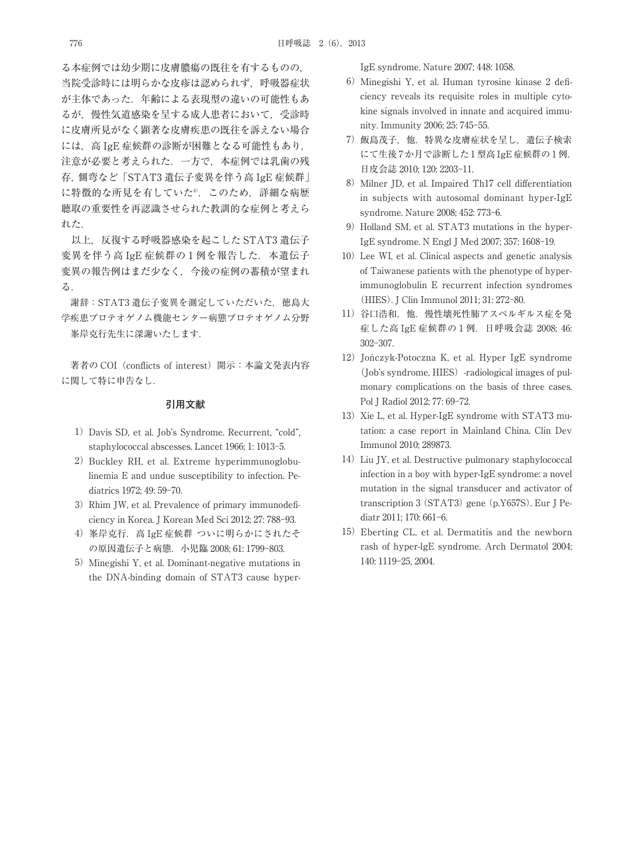る本症例では幼少期に皮膚膿瘍の既往を有するものの, 当院受診時には明らかな皮疹は認められず,呼吸器症状 が主体であった.年齢による表現型の違いの可能性もあ るが,慢性気道感染を呈する成人患者において,受診時 に皮膚所見がなく顕著な皮膚疾患の既往を訴えない場合 には,高 IgE 症候群の診断が困難となる可能性もあり, 注意が必要と考えられた.一方で,本症例では乳歯の残 存,側弯など「STAT3 遺伝子変異を伴う高 IgE 症候群」 に特徴的な所見を有していた4). このため, 詳細な病歴

聴取の重要性を再認識させられた教訓的な症例と考えら れた. 以上, 反復する呼吸器感染を起こした STAT3 遺伝子

変異を伴う高 IgE 症候群の1例を報告した. 本遺伝子 変異の報告例はまだ少なく,今後の症例の蓄積が望まれ る.

謝辞:STAT3 遺伝子変異を測定していただいた,徳島大 学疾患プロテオゲノム機能センター病態プロテオゲノム分野 峯岸克行先生に深謝いたします.

著者の COI (conflicts of interest) 開示:本論文発表内容 に関して特に申告なし.

#### **引用文献**

- 1) Davis SD, et al. Job's Syndrome. Recurrent, "cold", staphylococcal abscesses. Lancet 1966; 1: 1013-5.
- 2) Buckley RH, et al. Extreme hyperimmunoglobulinemia E and undue susceptibility to infection. Pediatrics 1972; 49: 59-70.
- 3) Rhim JW, et al. Prevalence of primary immunodeficiency in Korea. J Korean Med Sci 2012; 27: 788-93.
- 4) 峯岸克行. 高 IgE 症候群 ついに明らかにされたそ の原因遺伝子と病態.小児臨 2008; 61: 1799-803.
- 5) Minegishi Y, et al. Dominant-negative mutations in the DNA-binding domain of STAT3 cause hyper-

IgE syndrome. Nature 2007; 448: 1058.

- 6)Minegishi Y, et al. Human tyrosine kinase 2 deficiency reveals its requisite roles in multiple cytokine signals involved in innate and acquired immunity. Immunity 2006; 25: 745-55.
- 7)飯島茂子,他.特異な皮膚症状を呈し,遺伝子検索 にて生後 7 か月で診断した 1 型高 IgE 症候群の 1 例. 日皮会誌 2010; 120: 2203-11.
- 8) Milner JD, et al. Impaired Th17 cell differentiation in subjects with autosomal dominant hyper-IgE syndrome. Nature 2008; 452: 773-6.
- 9) Holland SM, et al. STAT3 mutations in the hyper-IgE syndrome. N Engl J Med 2007; 357: 1608-19.
- 10) Lee WI, et al. Clinical aspects and genetic analysis of Taiwanese patients with the phenotype of hyperimmunoglobulin E recurrent infection syndromes (HIES). J Clin Immunol 2011; 31: 272-80.
- 11) 谷口浩和, 他. 慢性壊死性肺アスペルギルス症を発 症した高 IgE 症候群の 1 例.日呼吸会誌 2008; 46: 302-307.
- 12) Jończyk-Potoczna K, et al. Hyper IgE syndrome (Job's syndrome, HIES)-radiological images of pulmonary complications on the basis of three cases. Pol J Radiol 2012; 77: 69-72.
- 13) Xie L, et al. Hyper-IgE syndrome with STAT3 mutation: a case report in Mainland China. Clin Dev Immunol 2010; 289873.
- 14) Liu JY, et al. Destructive pulmonary staphylococcal infection in a boy with hyper-IgE syndrome: a novel mutation in the signal transducer and activator of transcription 3 (STAT3) gene (p.Y657S). Eur J Pediatr 2011; 170: 661-6.
- 15)Eberting CL, et al. Dermatitis and the newborn rash of hyper-lgE syndrome. Arch Dermatol 2004; 140: 1119-25, 2004.